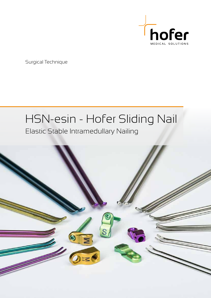

Surgical Technique

# HSN-esin - Hofer Sliding Nail

### Elastic Stable Intramedullary Nailing

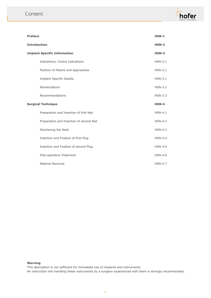| <b>Preface</b>                      |                                          | <b>HSN-1</b>   |
|-------------------------------------|------------------------------------------|----------------|
| <b>Introduction</b>                 |                                          | $HSN-2$        |
| <b>Implant Specific Information</b> |                                          | $HSN-3$        |
|                                     | Indications, Contra Indications          | $HSN-3.1$      |
|                                     | Position of Patient and Approaches       | $HSN-3.1$      |
|                                     | <b>Implant Specific Details</b>          | $HSN-3.1$      |
|                                     | Nomenclature                             | $HSN-3.2$      |
|                                     | Recommendations                          | $HSN-3.3$      |
| <b>Surgical Technique</b>           |                                          |                |
|                                     |                                          | $HSN-4$        |
|                                     | Preparation and Insertion of first Nail  | $HSN-4.1$      |
|                                     | Preparation and Insertion of second Nail | <b>HSN-4.2</b> |
|                                     | Shortening the Nails                     | $HSN-4.3$      |
|                                     | Insertion and Fixation of first Plug     | $HSN-4.4$      |
|                                     | Insertion and Fixation of second Plug    | <b>HSN-4.5</b> |
|                                     | Post-operative Treatment                 | $HSN-4.6$      |

#### **Warning**

This description is not sufficient for immediate use of implants and instruments.

An instruction into handling these instruments by a surgeon experienced with them is strongly recommended.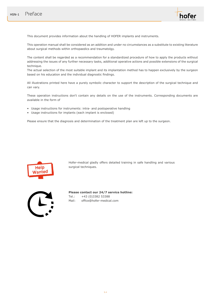

This document provides information about the handling of HOFER implants and instruments.

This operation manual shall be considered as an addition and under no circumstances as a substitute to existing literature about surgical methods within orthopaedics and traumatolgy.

The content shall be regarded as a recommendation for a standardized procedure of how to apply the products without addressing the issues of any further necessary tasks, additional operative actions and possible extensions of the surgical technique.

The actual selection of the most suitable implant and its implantation method has to happen exclusively by the surgeon based on his education and the individual diagnostic findings.

All illustrations printed here have a purely symbolic character to support the description of the surgical technique and can vary.

These operation instructions don't contain any details on the use of the instruments. Corresponding documents are available in the form of

- Usage instructions for instruments: intra- and postoperative handling
- Usage instructions for implants (each implant is enclosed)

Please ensure that the diagnosis and determination of the treatment plan are left up to the surgeon.



Hofer-medical gladly offers detailed training in safe handling and various surgical techniques.



**Please contact our 24/7 service hotline:** Tel.: +43 (0)3382 53388 Mail: office@hofer-medical.com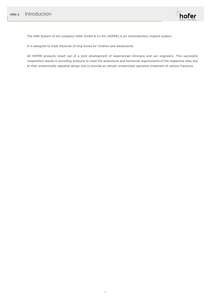

The HSN System of the company Hofer GmbH & Co KG (HOFER) is an intramedullary implant system.

It is designed to treat fractures of long bones for children and adolescents.

All HOFER products result out of a joint development of experienced clinicians and our engineers. This successful cooperation results in providing products to meet the anatomical and functional requirements of the respective sites due to their anatomically adjusted design and to provide an almost unrestricted operative treatment of various fractures.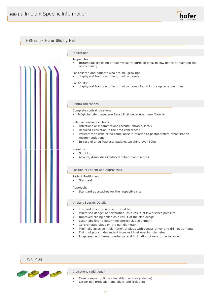



hofer

#### HSN Plug



#### Indications (additional)

- More complex oblique / instable fractures (relative)
- Larger nail projection and sharp end (relative)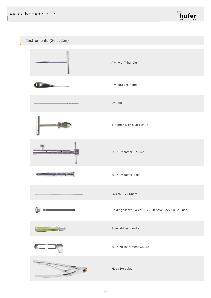

Instruments (Selection)

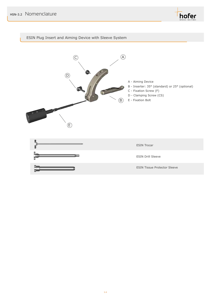

#### ESIN Plug Insert and Aiming Device with Sleeve System

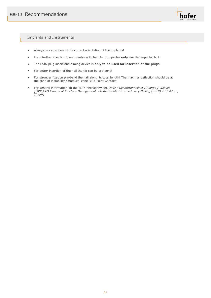

#### Implants and Instruments

- Always pay attention to the correct orientation of the implants!
- For a further insertion than possible with handle or impactor **only** use the impactor bolt!
- The ESIN plug insert and aiming device is **only to be used for insertion of the plugs.**
- For better insertion of the nail the tip can be pre-bent!
- For stronger fixation pre-bend the nail along its total length! The maximal deflection should be at the zone of instability / fracture zone -> 3-Point-Contact!
- For general information on the ESIN philosophy see *Dietz / Schmittenbecher / Slongo / Wilkins (2006) AO Manual of Fracture Management: Elastic Stable Intramedullary Nailing (ESIN) in Children, Thieme*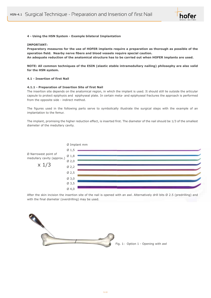

#### **4 - Using the HSN System - Example bilateral Implantation**

#### **IMPORTANT:**

**Preparatory measures for the use of HOFER implants require a preparation as thorough as possible of the operation field. Nearby nerve fibers and blood vessels require special caution.**

**An adequate reduction of the anatomical structure has to be carried out when HOFER implants are used.**

#### **NOTE: All common techniques of the ESIN (elastic stable intramedullary nailing) philosophy are also valid for the HSN system.**

#### **4.1 - Insertion of first Nail**

#### **4.1.1 - Preparation of Insertion Site of first Nail**

The insertion site depends on the anatomical region, in which the implant is used. It should still lie outside the articular capsule to protect epiphysis and epiphyseal plate. In certain meta- and epiphyseal fractures the approach is performed from the opposite side - indirect method.

The figures used in the following parts serve to symbolically illustrate the surgical steps with the example of an implantation to the femur.

The implant, promising the higher reduction effect, is inserted first. The diameter of the nail should be 1/3 of the smallest diameter of the medullary cavity.



After the skin incision the insertion site of the nail is opened with an awl. Alternatively drill bits Ø 2.5 (predrilling) and with the final diameter (overdrilling) may be used.



Fig. 1: Option 1 - Opening with awl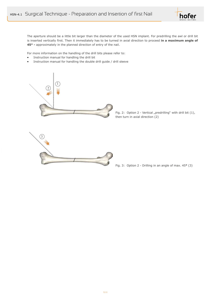

The aperture should be a little bit larger than the diameter of the used HSN implant. For predrilling the awl or drill bit is inserted vertically first. Then it immediately has to be turned in axial direction to proceed **in a maximum angle of 45° -** approximately in the planned direction of entry of the nail.

For more information on the handling of the drill bits please refer to:

- Instruction manual for handling the drill bit
- Instruction manual for handling the double drill guide / drill sleeve



Fig. 2: Option 2 - Vertical "predrilling" with drill bit  $(1)$ , then turn in axial direction (2)



Fig. 3: Option 2 - Drilling in an angle of max. 45**°** (3)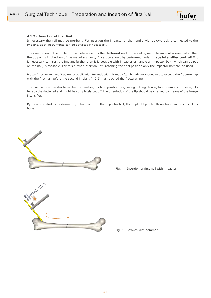

#### **4.1.2 - Insertion of first Nail**

If necessary the nail may be pre-bent. For insertion the impactor or the handle with quick-chuck is connected to the implant. Both instruments can be adjusted if necessary.

The orientation of the implant tip is determined by the **flattened end** of the sliding nail. The implant is oriented so that the tip points in direction of the medullary cavity. Insertion should by performed under **image intensifier control**! If it is necessary to insert the implant further than it is possible with impactor or handle an impactor bolt, which can be put on the nail, is available. For this further insertion until reaching the final position only the impactor bolt can be used!

**Note:** In order to have 2 points of application for reduction, it may often be advantageous not to exceed the fracture gap with the first nail before the second implant (4.2.2) has reached the fracture line.

The nail can also be shortened before reaching its final position (e.g. using cutting device, too massive soft tissue). As hereby the flattened end might be completely cut off, the orientation of the tip should be checked by means of the image intensifier.

By means of strokes, performed by a hammer onto the impactor bolt, the implant tip is finally anchored in the cancellous bone.



Fig. 4: Insertion of first nail with impactor

Fig. 5: Strokes with hammer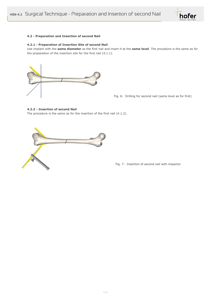

#### **4.2 - Preparation and Insertion of second Nail**

#### **4.2.1 - Preparation of Insertion Site of second Nail**

Use implant with the **same diameter** as the first nail and insert it at the **same level**. The procedure is the same as for the preparation of the insertion site for the first nail (4.1.1).



Fig. 6: Drilling for second nail (same level as for first)

#### **4.2.2 - Insertion of second Nail**

The procedure is the same as for the insertion of the first nail (4.1.2).



Fig. 7: Insertion of second nail with impactor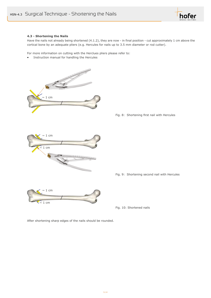

#### **4.3 - Shortening the Nails**

Have the nails not already being shortened (4.1.2), they are now - in final position - cut approximately 1 cm above the cortical bone by an adequate pliers (e.g. Hercules for nails up to 3.5 mm diameter or rod cutter).

For more information on cutting with the Herclues pliers please refer to:

• Instruction manual for handling the Hercules



Fig. 8: Shortening first nail with Hercules



Fig. 9: Shortening second nail with Hercules



Fig. 10: Shortened nails

After shortening sharp edges of the nails should be rounded.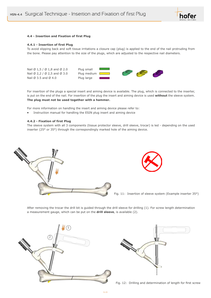

#### **4.4 - Insertion and Fixation of first Plug**

#### **4.4.1 - Insertion of first Plug**

To avoid slipping back and soft tissue irritations a closure cap (plug) is applied to the end of the nail protruding from the bone. Please pay attention to the size of the plugs, which are adjusted to the respective nail diameters.



For insertion of the plugs a special insert and aiming device is available. The plug, which is connected to the inserter, is put on the end of the nail. For insertion of the plug the insert and aiming device is used **without** the sleeve system. **The plug must not be used together with a hammer.**

For more information on handling the insert and aiming device please refer to:

• Instruction manual for handling the ESIN plug insert and aiming device

#### **4.4.2 - Fixation of first Plug**

The sleeve system with all 3 components (tissue protector sleeve, drill sleeve, trocar) is led - depending on the used inserter (25° or 35°) through the correspondingly marked hole of the aiming device.





Fig. 11: Insertion of sleeve system (Example inserter 35°)

After removing the trocar the drill bit is guided through the drill sleeve for drilling (1). For screw length determination a measurement gauge, which can be put on the **drill sleeve**, is available (2).





Fig. 12: Drilling and determination of length for first screw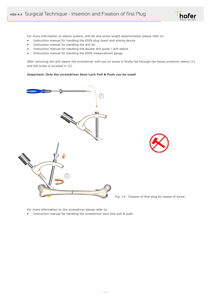

For more information on sleeve system, drill bit and screw length determination please refer to:

- Instruction manual for handling the ESIN plug insert and aiming device
- Instruction manual for handling the drill bit
- Instruction manual for handling the double drill guide / drill sleeve
- Instruction manual for handling the ESIN measurement gauge

After removing the drill sleeve the screwdriver with put on screw is finally led through the tissue protector sleeve (1) and the screw is screwed in (2).

#### **Important: Only the screwdriver Save Lock Pull & Push can be used!**



Fig. 13: Fixation of first plug by means of screw

For more information on the screwdriver please refer to:

• Instruction manual for handling the screwdriver save lock pull & push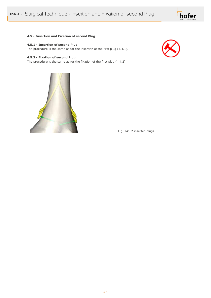

#### **4.5 - Insertion and Fixation of second Plug**

#### **4.5.1 - Insertion of second Plug**

The procedure is the same as for the insertion of the first plug (4.4.1).

#### **4.5.2 - Fixation of second Plug**

The procedure is the same as for the fixation of the first plug (4.4.2).





Fig. 14: 2 inserted plugs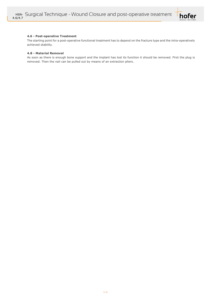

#### **4.6 - Post-operative Treatment**

The starting point for a post-operative functional treatment has to depend on the fracture type and the intra-operatively achieved stability.

#### **4.8 - Material Removal**

As soon as there is enough bone support and the implant has lost its function it should be removed. First the plug is removed. Then the nail can be pulled out by means of an extraction pliers.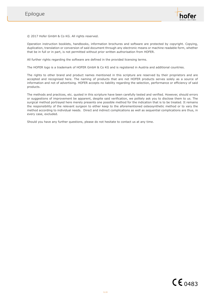

© 2017 Hofer GmbH & Co KG. All rights reserved.

Operation instruction booklets, handbooks, information brochures and software are protected by copyright. Copying, duplication, translation or conversion of said document through any electronic means or machine readable form, whether that be in full or in part, is not permitted without prior written authorisation from HOFER.

All further rights regarding the software are defined in the provided licensing terms.

The HOFER logo is a trademark of HOFER GmbH & Co KG and is registered in Austria and additional countries.

The rights to other brand and product names mentioned in this scripture are reserved by their proprietors and are accepted and recognised here. The naming of products that are not HOFER products serves solely as a source of information and not of advertising. HOFER accepts no liability regarding the selection, performance or efficiency of said products.

The methods and practices, etc. quoted in this scripture have been carefully tested and verified. However, should errors or suggestions of improvement be apparent, despite said verification, we politely ask you to disclose them to us. The surgical method portrayed here merely presents one possible method for the indication that is to be treated. It remains the responsibility of the relevant surgeon to either keep to the aforementioned osteosynthetic method or to vary the method according to individual needs. Direct and indirect complications as well as sequential complications are thus, in every case, excluded.

Should you have any further questions, please do not hesitate to contact us at any time.